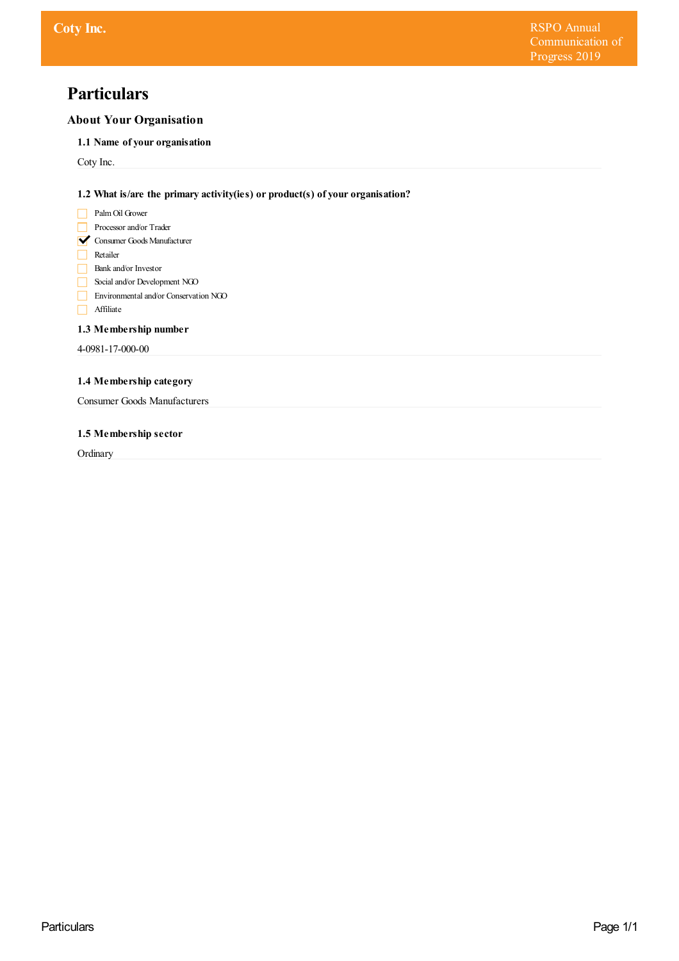# **Particulars**

# **About Your Organisation**

**1.1 Name of your organisation**

Coty Inc.

**1.2 What is/are the primary activity(ies) or product(s) of your organisation?**

- **Palm Oil Grower**
- Processor and/or Trader
- **V** Consumer Goods Manufacturer
- Retailer
- Bank and/or Investor
- Social and/or Development NGO
- Environmental and/or Conservation NGO
- Affiliate

# **1.3 Membership number**

4-0981-17-000-00

# **1.4 Membership category**

Consumer Goods Manufacturers

## **1.5 Membership sector**

**Ordinary**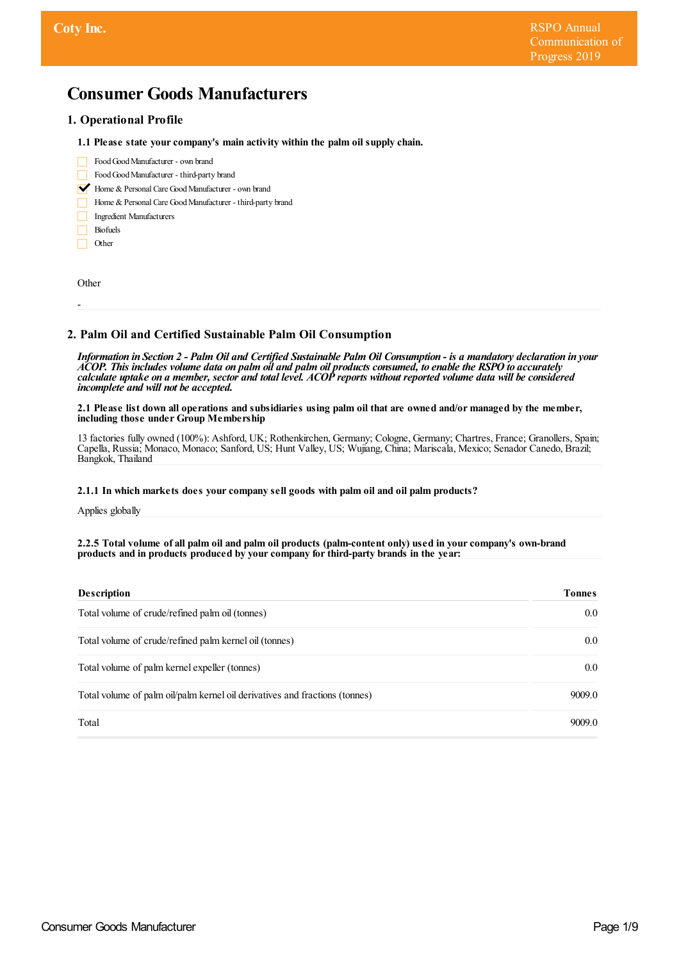# **Consumer Goods Manufacturers**

# **1. Operational Profile**

- **1.1 Please state yourcompany's main activity within the palm oil supply chain.**
- FoodGoodManufacturer own brand FoodGoodManufacturer - third-party brand Home & Personal Care Good Manufacturer - own brand Home & Personal Care Good Manufacturer - third-party brand Ingredient Manufacturers
	- Biofuels Other

**Other** 

-

## **2. Palm Oil and Certified Sustainable Palm Oil Consumption**

Information in Section 2 - Palm Oil and Certified Sustainable Palm Oil Consumption - is a mandatory declaration in your ACOP. This includes volume data on palm oil and palm oil products consumed, to enable the RSPO to accurately calculate uptake on a member, sector and total level. ACOP reports without reported volume data will be considered *incomplete and will not be accepted.*

2.1 Please list down all operations and subsidiaries using palm oil that are owned and/or managed by the member, **including those under Group Membership**

13 factories fully owned (100%): Ashford, UK; Rothenkirchen, Germany; Cologne, Germany; Chartres, France; Granollers, Spain; Capella, Russia; Monaco, Monaco; Sanford, US; Hunt Valley, US; Wujiang, China; Mariscala, Mexico; Senador Canedo, Brazil; Bangkok, Thailand

## **2.1.1 In which markets does yourcompany sell goods with palm oil and oil palm products?**

Applies globally

#### 2.2.5 Total volume of all palm oil and palm oil products (palm-content only) used in your company's own-brand **products and in products produced by yourcompany forthird-party brands in the year:**

| <b>Description</b>                                                          | <b>Tonnes</b> |
|-----------------------------------------------------------------------------|---------------|
| Total volume of crude/refined palm oil (tonnes)                             | $0.0\,$       |
| Total volume of crude/refined palm kernel oil (tonnes)                      | $0.0\,$       |
| Total volume of palm kernel expeller (tonnes)                               | 0.0           |
| Total volume of palm oil/palm kernel oil derivatives and fractions (tonnes) | 9009.0        |
| Total                                                                       | 9009.0        |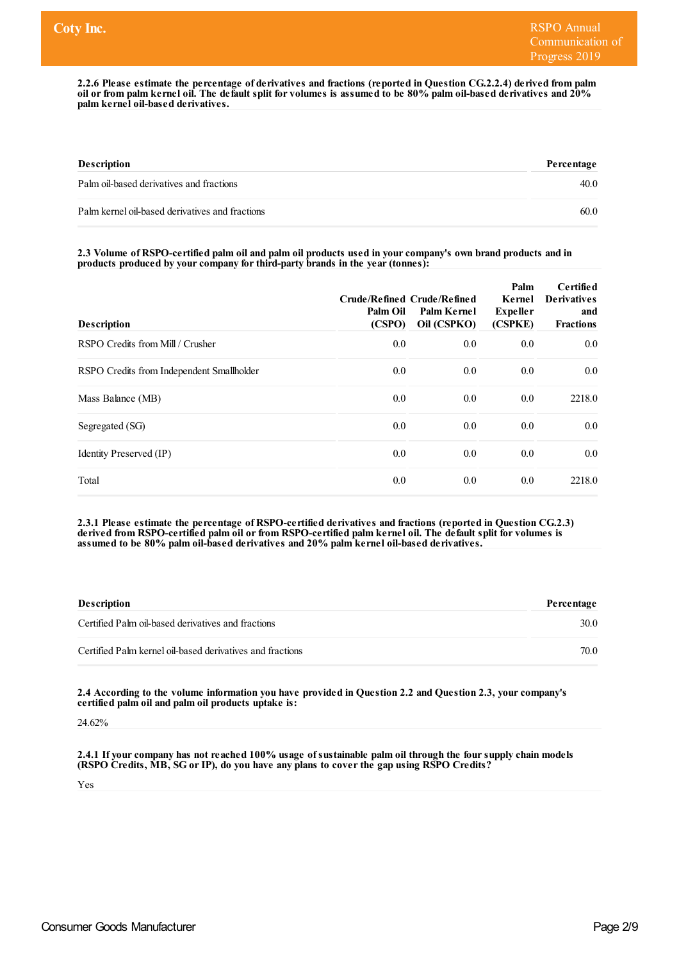2.2.6 Please estimate the percentage of derivatives and fractions (reported in Question CG.2.2.4) derived from palm oil or from palm kernel oil. The default split for volumes is assumed to be 80% palm oil-based derivatives and 20% **palm kernel oil-based derivatives.**

| <b>Description</b>                              | Percentage |
|-------------------------------------------------|------------|
| Palm oil-based derivatives and fractions        | 40.0       |
| Palm kernel oil-based derivatives and fractions | 60.0       |

2.3 Volume of RSPO-certified palm oil and palm oil products used in your company's own brand products and in **products produced by yourcompany forthird-party brands in the year(tonnes):**

| <b>Description</b>                        | Palm Oil<br>(CSPO) | Crude/Refined Crude/Refined<br>Palm Kernel<br>Oil (CSPKO) | Palm<br>Kernel<br><b>Expeller</b><br>(CSPKE) | Certified<br><b>Derivatives</b><br>and<br><b>Fractions</b> |
|-------------------------------------------|--------------------|-----------------------------------------------------------|----------------------------------------------|------------------------------------------------------------|
| RSPO Credits from Mill / Crusher          | 0.0                | 0.0                                                       | 0.0                                          | 0.0                                                        |
| RSPO Credits from Independent Smallholder | 0.0                | 0.0                                                       | 0.0                                          | 0.0                                                        |
| Mass Balance (MB)                         | 0.0                | 0.0                                                       | 0.0                                          | 2218.0                                                     |
| Segregated (SG)                           | 0.0                | 0.0                                                       | 0.0                                          | 0.0                                                        |
| Identity Preserved (IP)                   | 0.0                | 0.0                                                       | 0.0                                          | 0.0                                                        |
| Total                                     | 0.0                | 0.0                                                       | 0.0                                          | 2218.0                                                     |

**2.3.1 Please estimate the percentage of RSPO-certified derivatives and fractions (reported in Question CG.2.3) derived from RSPO-certified palm oil orfrom RSPO-certified palm kernel oil. The default split for volumes is assumed to be 80% palm oil-based derivatives and 20% palm kernel oil-based derivatives.**

| <b>Description</b>                                        | Percentage |
|-----------------------------------------------------------|------------|
| Certified Palm oil-based derivatives and fractions        | 30.0       |
| Certified Palm kernel oil-based derivatives and fractions | 70.0       |

**2.4 According to the volume information you have provided in Question 2.2 and Question 2.3, yourcompany's certified palm oil and palm oil products uptake is:**

24.62%

**2.4.1 If yourcompany has not reached 100% usage ofsustainable palm oil through the foursupply chain models (RSPO Credits, MB, SG orIP), do you have any plans to coverthe gap using RSPO Credits?**

Yes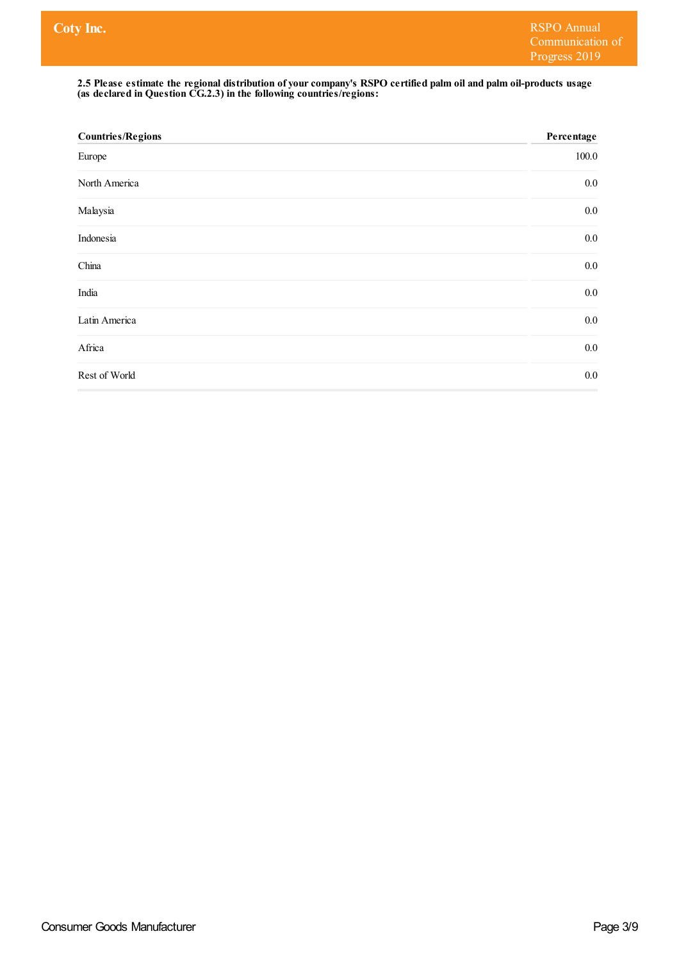#### 2.5 Please estimate the regional distribution of your company's RSPO certified palm oil and palm oil-products usage **(as declared in Question CG.2.3) in the following countries/regions:**

| <b>Countries/Regions</b> | Percentage |
|--------------------------|------------|
| Europe                   | 100.0      |
| North America            | $0.0\,$    |
| Malaysia                 | $0.0\,$    |
| Indonesia                | $0.0\,$    |
| China                    | $0.0\,$    |
| India                    | $0.0\,$    |
| Latin America            | $0.0\,$    |
| Africa                   | $0.0\,$    |
| Rest of World            | 0.0        |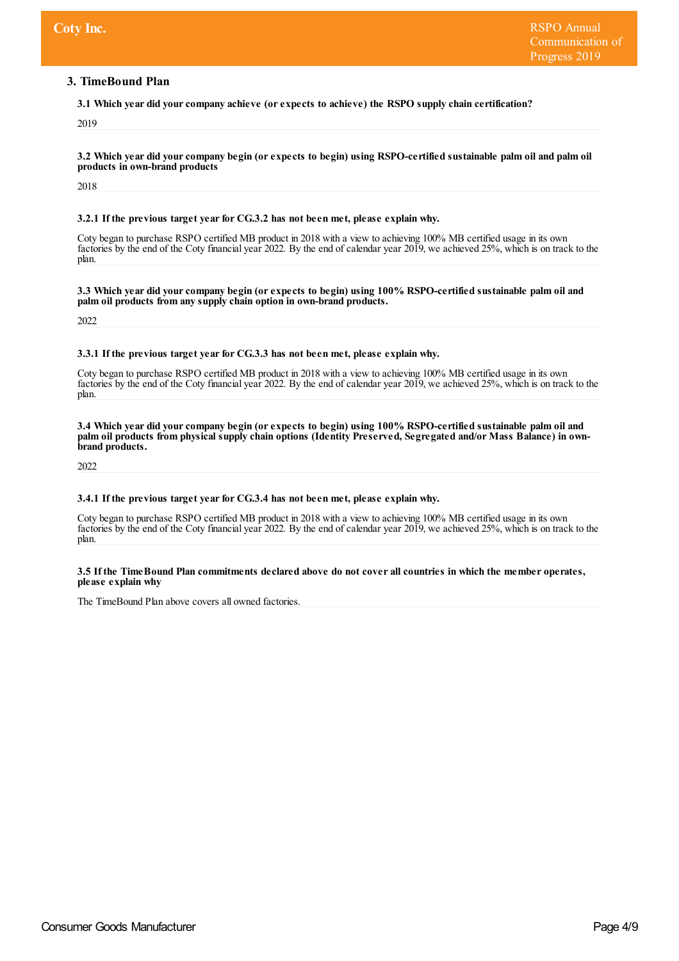## **3. TimeBound Plan**

**3.1 Which year did yourcompany achieve (orexpects to achieve) the RSPO supply chain certification?**

2019

3.2 Which year did your company begin (or expects to begin) using RSPO-certified sustainable palm oil and palm oil **products in own-brand products**

2018

#### **3.2.1 If the previous target yearfor CG.3.2 has not been met, please explain why.**

Coty began to purchase RSPO certified MB product in 2018 with a view to achieving 100% MB certified usage in its own factories by the end of the Coty financial year 2022. By the end of calendar year 2019, we achieved 25%, which is on track to the plan.

**3.3 Which year did yourcompany begin (orexpects to begin) using 100% RSPO-certified sustainable palm oil and palm oil products from any supply chain option in own-brand products.**

2022

#### **3.3.1 If the previous target yearfor CG.3.3 has not been met, please explain why.**

Coty began to purchase RSPO certified MB product in 2018 with a view to achieving 100% MB certified usage in its own factories by the end of the Coty financial year 2022. By the end of calendar year 2019, we achieved 25%, which is on track to the plan.

#### **3.4 Which year did yourcompany begin (orexpects to begin) using 100% RSPO-certified sustainable palm oil and** palm oil products from physical supply chain options (Identity Preserved, Segregated and/or Mass Balance) in own**brand products.**

2022

#### **3.4.1 If the previous target yearfor CG.3.4 has not been met, please explain why.**

Coty began to purchase RSPO certified MB product in 2018 with a view to achieving 100% MB certified usage in its own factories by the end of the Coty financial year 2022. By the end of calendar year 2019, we achieved 25%, which is on track to the plan.

#### 3.5 If the Time Bound Plan commitments declared above do not cover all countries in which the member operates, **please explain why**

The TimeBound Plan above covers all owned factories.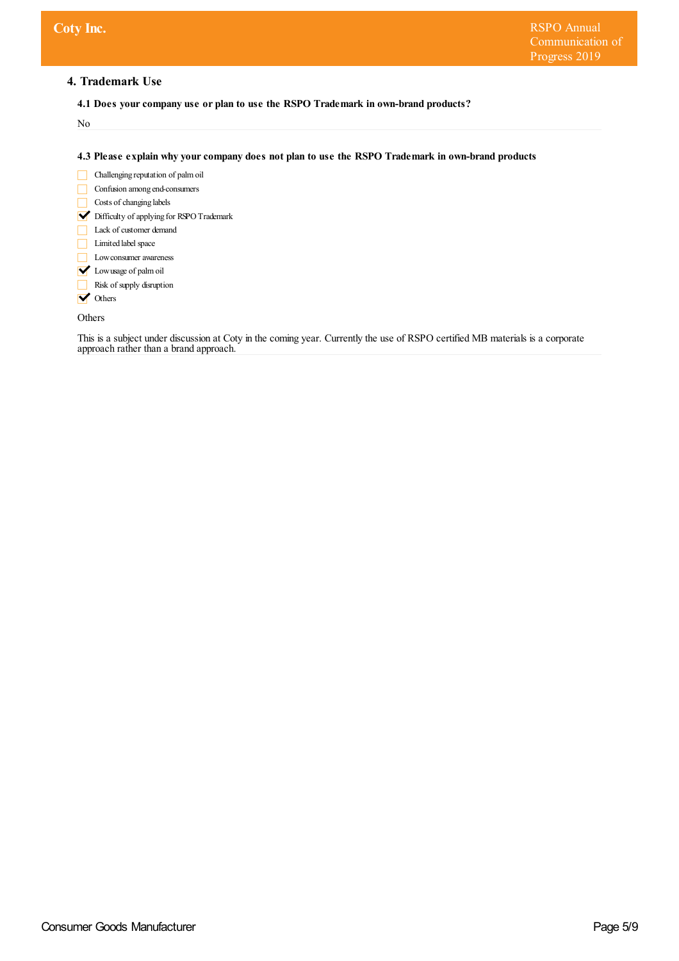# **4. Trademark Use**

**4.1 Does yourcompany use or plan to use the RSPO Trademark in own-brand products?**

No

**4.3 Please explain why yourcompany does not plan to use the RSPO Trademark in own-brand products**

- Challenging reputation of palm oil Confusion among end-consumers Costs of changing labels Difficulty of applying for RSPOTrademark Lack of customer demand
- Limited label space
- **Low consumer awareness**
- **V** Lowusage of palm oil
- Risk of supply disruption
- **V** Others

Others

This is a subject under discussion at Coty in the coming year. Currently the use of RSPO certified MB materials is a corporate approach rather than a brand approach.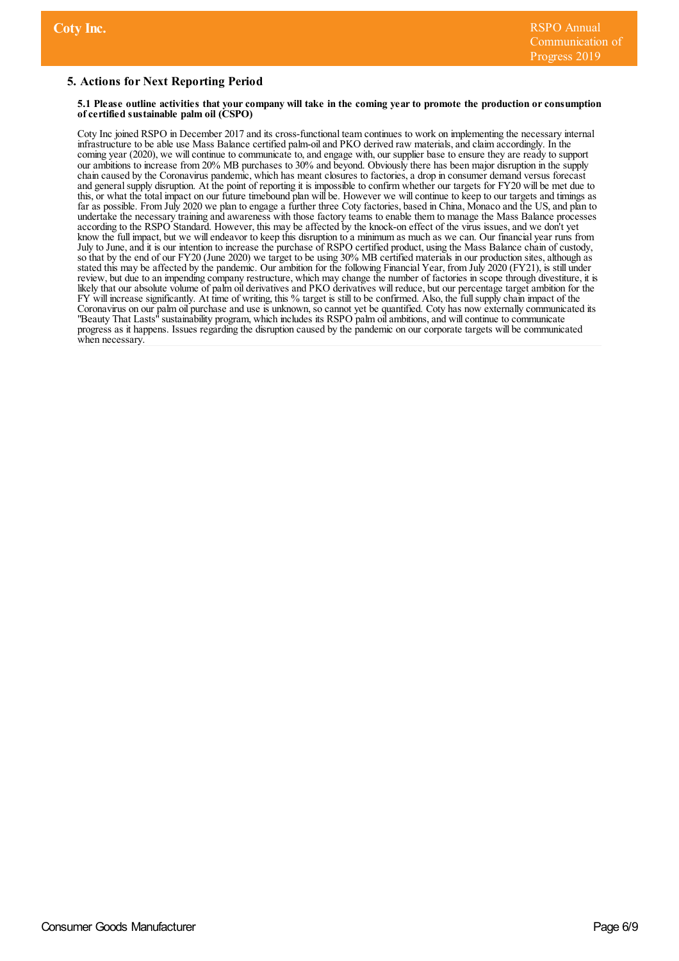# **5. Actions for Next Reporting Period**

#### 5.1 Please outline activities that your company will take in the coming year to promote the production or consumption **ofcertified sustainable palm oil (CSPO)**

Coty Inc joined RSPO in December 2017 and its cross-functional team continues to work on implementing the necessary internal infrastructure to be able use Mass Balance certified palm-oiland PKO derived raw materials,and claim accordingly. In the coming year (2020), we will continue to communicate to, and engage with, our supplier base to ensure they are ready to support our ambitions to increase from 20% MB purchases to 30% and beyond. Obviously there has been major disruption in the supply chain caused by the Coronavirus pandemic, which has meant closures to factories, a drop in consumer demand versus forecast and general supply disruption. At the point of reporting it is impossible to confirm whether our targets for FY20 will be met due to this, or what the total impact on our future timebound plan will be. However we willcontinue to keep to our targets and timings as far as possible. From July 2020 we plan to engage a further three Coty factories, based in China, Monaco and the US, and plan to undertake the necessary training and awareness with those factory teams to enable them to manage the Mass Balance processes according to the RSPO Standard. However, this may be affected by the knock-on effect of the virus issues, and we don't yet know the full impact, but we willendeavor to keep this disruption to a minimum as much as we can. Our financial year runs from July to June, and it is our intention to increase the purchase of RSPO certified product, using the Mass Balance chain of custody, so that by the end of our FY20 (June 2020) we target to be using 30% MB certified materials in our production sites, although as stated this may be affected by the pandemic. Our ambition for the following Financial Year, from July 2020 (FY21), is still under review, but due to an impending company restructure, which may change the number of factories in scope through divestiture, it is likely that our absolute volume of palm oil derivatives and PKO derivatives will reduce, but our percentage target ambition for the FY will increase significantly. At time of writing, this % target is still to be confirmed. Also, the fullsupply chain impact of the Coronavirus on our palm oil purchase and use is unknown, so cannot yet be quantified. Coty has now externally communicated its "Beauty That Lasts" sustainability program, which includes its RSPO palm oil ambitions, and will continue to communicate progress as it happens. Issues regarding the disruption caused by the pandemic on our corporate targets will be communicated when necessary.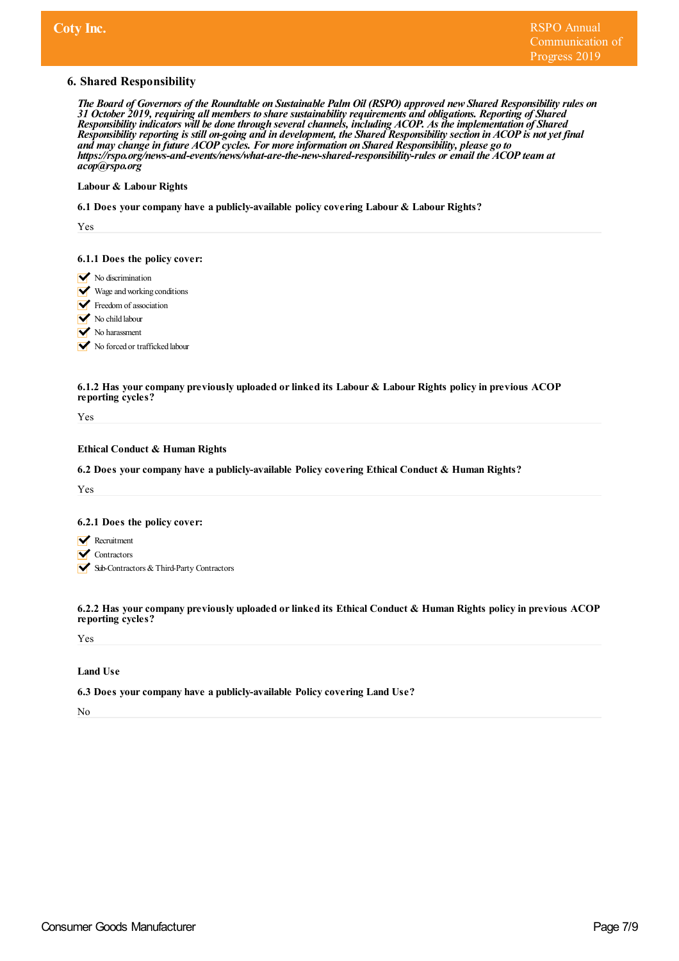## **6. Shared Responsibility**

The Board of Governors of the Roundtable on Sustainable Palm Oil (RSPO) approved new Shared Responsibility rules on *31 October 2019, requiring all members to share sustainability requirements and obligations. Reporting of Shared Responsibility indicators will be done through severalchannels, including ACOP. As the implementation of Shared* Responsibility reporting is still on-going and in development, the Shared Responsibility section in ACOP is not yet final *and may change in future ACOP cycles. For more information on Shared Responsibility, please go to https:/ rspo.org/news-and-events/news/what-are-the-new-shared-responsibility-rules or email the ACOP team at acop@rspo.org*

#### **Labour & Labour Rights**

**6.1 Does yourcompany have a publicly-available policy covering Labour & Labour Rights?**

Yes

#### **6.1.1 Does the policy cover:**

- $\triangleright$  No discrimination
- Wage and working conditions
- Freedom of association
- No child labour
- No harassment

No forced or trafficked labour

#### **6.1.2 Has yourcompany previously uploaded orlinked its Labour & Labour Rights policy in previous ACOP reporting cycles?**

Yes

## **Ethical Conduct & Human Rights**

**6.2 Does yourcompany have a publicly-available Policy covering Ethical Conduct & Human Rights?**

Yes

#### **6.2.1 Does the policy cover:**

- **Recruitment**
- **V** Contractors
- Sub-Contractors & Third-Party Contractors

**6.2.2 Has yourcompany previously uploaded orlinked its Ethical Conduct & Human Rights policy in previous ACOP reporting cycles?**

Yes

### **Land Use**

#### **6.3 Does yourcompany have a publicly-available Policy covering Land Use?**

No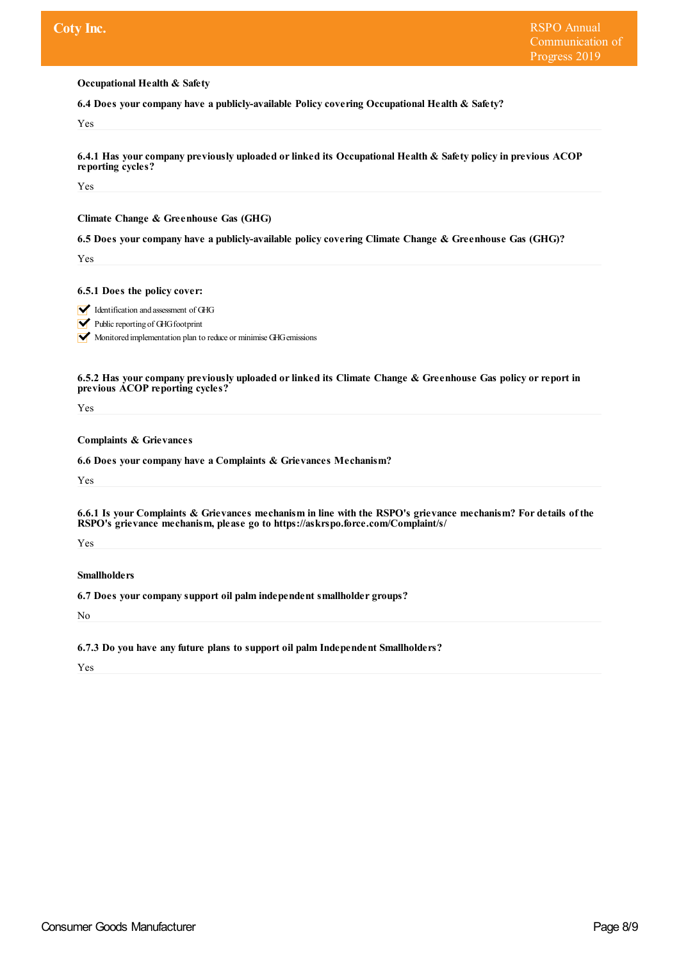**Occupational Health & Safety**

**6.4 Does yourcompany have a publicly-available Policy covering Occupational Health & Safety?**

Yes

**6.4.1 Has yourcompany previously uploaded orlinked its Occupational Health & Safety policy in previous ACOP reporting cycles?**

Yes

**Climate Change & Greenhouse Gas (GHG)**

**6.5 Does yourcompany have a publicly-available policy covering Climate Change & Greenhouse Gas (GHG)?**

Yes

**6.5.1 Does the policy cover:**

Identification and assessment of GHG

 $\triangleright$  Public reporting of GHG footprint

Monitored implementation plan to reduce or minimise GHG emissions

**6.5.2 Has yourcompany previously uploaded orlinked its Climate Change & Greenhouse Gas policy orreport in previous ACOP reporting cycles?**

Yes

**Complaints & Grievances**

**6.6 Does yourcompany have a Complaints & Grievances Mechanism?**

Yes

6.6.1 Is your Complaints & Grievances mechanism in line with the RSPO's grievance mechanism? For details of the **RSPO's grievance mechanism, please go to https://askrspo.force.com/Complaint/s/**

Yes

**Smallholders**

**6.7 Does yourcompany support oil palm independent smallholder groups?**

No

**6.7.3 Do you have any future plans to support oil palm Independent Smallholders?**

Yes